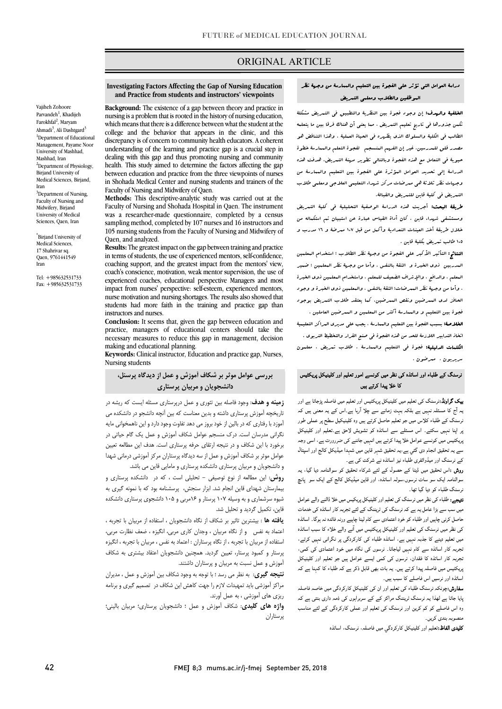## ORIGINAL ARTICLE

#### **Investigating Factors Affecting the Gap of Nursing Education and Practice from students and instructors' viewpoints**

Ī

 **Background:** The existence of a gap between theory and practice in nursing is a problem that is rooted in the history of nursing education, which means that there is a difference between what the student at the discrepancy is of concern to community health educators. A coherent understanding of the learning and practice gap is a crucial step in health. This study aimed to determine the factors affecting the gap between education and practice from the three viewpoints of nurses in Shohada Medical Center and nursing students and trainers of the<br>Faculty of Nursing and Midwifery of Oren college and the behavior that appears in the clinic, and this dealing with this gap and thus promoting nursing and community Faculty of Nursing and Midwifery of Qaen.

 **Methods:** This descriptive-analytic study was carried out at the was a researcher-made questionnaire, completed by a census sampling method, completed by 107 nurses and 16 instructors and 105 nursing students from the Faculty of Nursing and Midwifery of Faculty of Nursing and Shohada Hospital in Qaen. The instrument Qaen, and analyzed.

 **Results:** The greatest impact on the gap between training and practice coaching support, and the greatest impact from the mentors' view, coach's conscience, motivation, weak mentor supervision, the use of experienced coaches, educational perspective Managers and most nurse motivation and nursing shortages. The results also showed that students had more faith in the training and practice gap than in terms of students, the use of experienced mentors, self-confidence, impact from nurses' perspective: self-esteem, experienced mentors, instructors and nurses.

 **Conclusion:** It seems that, given the gap between education and practice, managers of educational centers should take the necessary measures to reduce this gap in management, decision making and educational planning.

 **Keywords:** Clinical instructor, Education and practice gap, Nurses, Nursing students

## **بررسی عوامل موثر بر شکاف آموزش و عمل از دیدگاه پرسنل،**   $\ddot{\phantom{0}}$ **دانشجویان و مربیان پرستاري**

 **زمینه و هدف**: وجود فاصله بین تئوري و عمل درپرستاري مسئله ایست که ریشه در تاریخچه آموزش پرستاری داشته و بدین معناست که بین آنچه دانسجو در دانسخند می<br>آموزد با رفتاری که در بالین از خود بروز می دهد تفاوت وجود دارد و این ناهمخوانی مایه نگرانی مدرسان است. درك منسجم عوامل شکاف آموزش و عمل یک گام حیاتی در برخورد با این شکاف و در نتیجه ارتقاي حرفه پرستاري است. هدف این مطالعه تعیین عوامل موثر بر شکاف آموزش و عمل از سه دیدگاه پرستاران مرکز آموزشی درمانی شهدا و دانشجویان و مربیان پرستاري دانشکده پرستاري و مامایی قاین می باشد. تاریخچه آموزش پرستاري داشته و بدین معناست که بین آنچه دانشجو در دانشکده می

 **روش**: این مطالعه از نوع توصیفی - تحلیلی است ، که در دانشکده پرستاري و بیمارستان شهداي قاین انجام شد. ابزار سنجش، پرسشنامه بود که با نمونه گیري به شیوه سرشماري و به وسیله 107 پرستار و 16مربی و 105 دانشجوي پرستاري دانشکده قاین، تکمیل گردید و تحلیل شد.

 **یافته ها** : بیشترین تاثیر بر شکاف از نگاه دانشجویان ، استفاده از مربیان با تجربه ، اعتماد به نفس و از نگاه مربیان ، وجدان کاري مربی، انگیزه ، ضعف نظارت مربی، استفاده از مربیان با تجربه ، از نگاه پرستاران : اعتماد به نفس ، مربیان با تجربه ، انگیزه پرستار و کمبود پرستار، تعیین گردید. همچنین دانشجویان اعتقاد بیشتري به شکاف آموزش و عمل نسبت به مربیان و پرستاران داشتند.

 **نتیجه گیري**: به نظر می رسد ؛ با توجه به وجود شکاف بین آموزش و عمل ، مدیران مراکز آموزشی باید تمهیدات لازم را جهت کاهش این شکاف در تصمیم گیري و برنامه ریزي هاي آموزشی ، به عمل آورند.

 **واژه هاي کلیدي**: شکاف آموزش و عمل ؛ دانشجویان پرستاري؛ مربیان بالینی؛ پرستاران

# دراسۀ العوامل التی تؤثر على الفجوة بین التعلیم والممارسۀ من وجهۀ نظر الموظفین والطلاب ومعلمی التمریض

ص

ا**لخلفیۀ والهدف:** إن وجود فجوة بین النظریۀ والتطبیق فی التعریض مشکلۀ تکمن جذورها فی تاریخ تعلیم التمریض ، مما یعنی أن هناك فرقا بین ما یتعلمه الطالب فی الکلیۀ والسلوك الذي یظهره فی الحیاة العملیۀ ، وهذا التناقض هو مصدر قلق للمدرسین. غیر إن الفهم المنسجم لفجوة التعلم والممارسۀ خطوة حیویۀ فی التعامل مع هذه الفجوة وبالتالی تطویر مهنۀ التمریض. هدفت هذه الدراسۀ إلى تحدید العوامل المؤثرة على الفجوة بین التعلیم والممارسۀ من وجهات نظر ثلاثۀ هی ممرضات مرکز شهداء التعلیمی العلاجی ومعلمی طلاب التمریض فی کلیۀ قاین للتمریض والقبالۀ.

**طریقۀ البحث:** أجریت هذه الدرا<sub>ل</sub>ۀ الوصفیۀ التحلیلیۀ ف<sub>ی</sub> کلیۀ التمریض<br>. ومستشفى شهداء قاین . کان أداة القیاس عبارة عن استبیان تم استکماله من<br>... 105 طالب تمریض بکلیۀ قاین . خلال طریقۀ أخذ العینات التعدادیۀ وأکمل من قبل 107 ممرضۀ و 16 مدرب و

 النتائج: التأثیر الأکبر على الفجوة من وجهۀ نظر الطلاب : استخدام المعلمین المدربین ذوي الخبرة و الثقۀ بالنفس . وأما من وجهۀ نظر المعلمین : ضمیر المعلم ، والدافع ، والإشراف الضعیف للمعلم ، واستخدام المعلمین ذوي الخبرة ، وأما من وجهۀ نظر الممرضات: الثقۀ بالنفس ، والمعلمین ذوي الخبرة و وجود الحافز لدى الممرضین ونقص الممرضین. کما یعتقد طلاب التمریض بوجود فجوة بین التعلیم و والممارسۀ أکثر من المعلمین و الممرضین العاملین . .<br>ل**خلاصۀ:** بسبب الفجوۀ بین التعلیم والعمارسۀ ، یجب على مدیرى الىراکز التعلیمیۀ اتخاذ التدابیر اللازمۀ للحد من هذه الفجوة فی صنع القرار والتخطیط التربوي . الکلمات الدلیلیۀ: فجوة فی التعلیم والممارسۀ ، طلاب تمریض ، معلمون سریریون ، ممرضون .

### رسنگ کے طلباء اور اساتذہ کی نظر میں کونسے امور تعلیم اور کلینیکل پریکٹیس<br>عمل اور اساتذہ کے مقدمات کے مطابق کرنے کے مطابق کرنے کے مطابق کرنے کے مطابق کا خلا پیدا کرتے ہیں

**یت تراوند**،ترسات نی تعیم میں نیپیانل پرپانیس اور تعیم میں تابعہ پرجانا ہے اور<br>بہ آج کا مسئلہ نہیں ہے بلکہ بہت زمانے سے چلا آرہا ہے۔اس کے یہ معنی ہیں کہ ۔<br>برسنگ کے طلباء کلاس میں جو تعلیم حاصل کرتے ہیں وہ کلینیکیل سطح پر عملی طور بر اپنا نہیں سکتے۔ اس مسئلے سے اساتذہ کو تشویش لاحق ہے۔تعلیم اور کلینیکل بریکٹیس میں کونسے عوامل خلا پیدا کرتے ہیں انہیں جاننے کی ضررورت ہے، اسی وجہ سے یہ تحقیق انجام دی گئي ہے،یہ تحقیق شہر قاین میں شہدا میڈیکل کالج اور اسپتال<br>۔ **ییک گراونڈ**:نرسنگ کی تعلیم میں کلینیکل پریکٹیس اور تعلیم میں فاصلہ پڑجاتا ہے اور کے نرسنگ اور میڈوائفری طلباء نیز اساتذہ نے شرکت کی ہے۔

ے ۔<br>ر**وش :**اس تحقیق میں ڈیٹا کے حصول کے لئے شرکاء تحقیق کو سوالنامہ دیا گیا، یہ سوالنامہ ایک سو سات نرسوں،سولہ اساتذہ، اور قاین میڈیکل کالج کے ایک سو پانچ رسنگ طلباء کو دیا گیا تھا۔

**تیجے:** طلباء کی نظر میں نرسنگ کی تعلیم اور کلینیکل پریکیس میں خلا ڈالنے والے عوامل<br>'' یں سب سے سے بڑھتے ہوئے کہ دوست کی تعداد سے سے سے دیں ہوگا۔ استفاد<br>حاصل کرنی چاہیں اور طلباء کو خود اعتمادی سے کام لینا چاہیے ورنہ فائدہ نہ ہوگا۔ اساتذہ کی نظر میں نرسنگ کی تعلیم اور کلینیکل پریکٹیس میں آنے والے خلاء کا سبب اساتذہ میں تعلیم دینے کا جذبہ نہیں ہے، اساتذہ طلباء کی کارکردگی پر نگرانی نہیں کرتے، نجربہ کار اساتذہ سے کام نہیں لیاجاتا۔ نرسوں کی نگاہ میں خود اعتمادی کی کمی، یبریہ تار استعداد کا گفتان، برسوں نے کسی ایسے عوامل ہیں ہو تعلیم اور کیپیائیں۔<br>پریکٹیس میں فاصلہ پیدا کرتے ہیں۔ یہ بات بھی قابل ذکر ہے کہ طلباء کا کہنا ہے کہ ۔<br>اساتذہ اور نرسیں اس فاصلے کا سبب ہیں۔ میں سب سے بڑا عامل یہ ہے کہ نرسنگ کی ٹریننگ کے لئے تجربہ کار اساتذہ کی خدمات ۔<br>تجربہ کار اساتذہ کا فقدان، نرسوں کی کمی ایسے عوامل ہیں جو تعلیم اور کلینیکل

**سفارش:**چونکہ نرسنگ طلباء کی تعلیم اور ان کی کلینیکل کارکردگی میں خاصہ فاصلہ بایا جاتا ہے لھذا یہ نرسنگ ٹریننگ مراکز کے کے سربراہوں کی ذمہ داری بنتی ہے کہ وہ اس فاصلے کو کم کرین اور نرسنگ کی تعلیم اور عملی کارکردگی کے لئے مناسب<br>۔ منصوبہ بندی کریں۔

۔<br>**کلیدی الفاظ:**تعلیم اور کلینیکل کارکردگی میں فاصلہ، نرسنگ، اساتذہ

Vajiheh Zohoore Parvandeh<sup>1</sup>, Khadijeh Farokhfal<sup>2</sup>, Maryam Ahmadi<sup>3</sup>, Ali Dashtgard<sup>3</sup> <sup>1</sup>Department of Educational Management, Payame Noor University of Mashhad, Mashhad, Iran <sup>2</sup>Department of Physiology, Birjand University of Medical Sciences, Birjand, Iran <sup>3</sup>Department of Nursing, Faculty of Nursing and Midwifery, Birjand University of Medical

Sciences, Qaen, Iran \* Birjand University of Medical Sciences, 17 Shahrivar sq. Qaen, 9761441549

Tel: +985632531733 Fax: +985632531733

Iran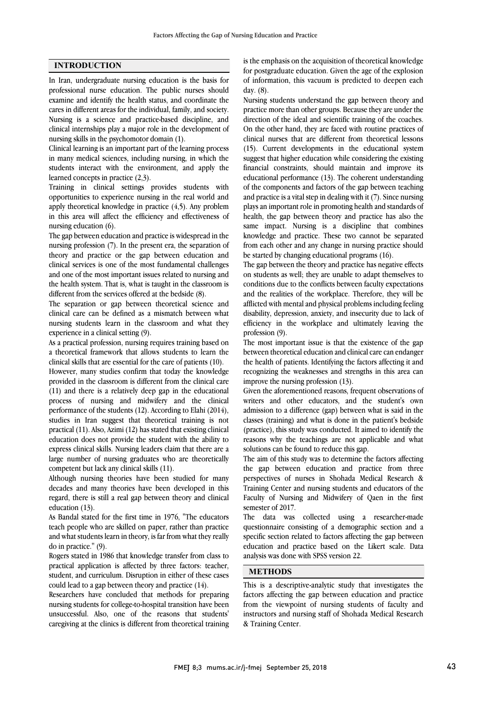### **INTRODUCTION**

In Iran, undergraduate nursing education is the basis for professional nurse education. The public nurses should examine and identify the health status, and coordinate the cares in different areas for the individual, family, and society. Nursing is a science and practice-based discipline, and clinical internships play a major role in the development of nursing skills in the psychomotor domain (1).

Clinical learning is an important part of the learning process in many medical sciences, including nursing, in which the students interact with the environment, and apply the learned concepts in practice (2,3).

Training in clinical settings provides students with opportunities to experience nursing in the real world and apply theoretical knowledge in practice (4,5). Any problem in this area will affect the efficiency and effectiveness of nursing education (6).

The gap between education and practice is widespread in the nursing profession (7). In the present era, the separation of theory and practice or the gap between education and clinical services is one of the most fundamental challenges and one of the most important issues related to nursing and the health system. That is, what is taught in the classroom is different from the services offered at the bedside (8).

The separation or gap between theoretical science and clinical care can be defined as a mismatch between what nursing students learn in the classroom and what they experience in a clinical setting (9).

As a practical profession, nursing requires training based on a theoretical framework that allows students to learn the clinical skills that are essential for the care of patients (10).

However, many studies confirm that today the knowledge provided in the classroom is different from the clinical care (11) and there is a relatively deep gap in the educational process of nursing and midwifery and the clinical performance of the students (12). According to Elahi (2014), studies in Iran suggest that theoretical training is not practical (11). Also, Azimi (12) has stated that existing clinical education does not provide the student with the ability to express clinical skills. Nursing leaders claim that there are a large number of nursing graduates who are theoretically competent but lack any clinical skills (11).

Although nursing theories have been studied for many decades and many theories have been developed in this regard, there is still a real gap between theory and clinical education (13).

As Bandal stated for the first time in 1976, "The educators teach people who are skilled on paper, rather than practice and what students learn in theory, is far from what they really do in practice." (9).

Rogers stated in 1986 that knowledge transfer from class to practical application is affected by three factors: teacher, student, and curriculum. Disruption in either of these cases could lead to a gap between theory and practice (14).

Researchers have concluded that methods for preparing nursing students for college-to-hospital transition have been unsuccessful. Also, one of the reasons that students' caregiving at the clinics is different from theoretical training

 for postgraduate education. Given the age of the explosion of information, this vacuum is predicted to deepen each day. (8). is the emphasis on the acquisition of theoretical knowledge

 Nursing students understand the gap between theory and practice more than other groups. Because they are unter the direction of the ideal and scientific training of the coaches. On the other hand, they are faced with routine practices of clinical nurses that are different from theoretical lessons (15). Current developments in the educational system financial constraints, should maintain and improve its educational performance (13). The coherent understanding of the components and factors of the gap between teaching and practice is a vital step in dealing with it (7). Since nursing health, the gap between theory and practice has also the same impact. Nursing is a discipline that combines knowledge and practice. These two cannot be separated from each other and any change in nursing practice should practice more than other groups. Because they are under the suggest that higher education while considering the existing plays an important role in promoting health and standards of be started by changing educational programs (16).

 The gap between the theory and practice has negative effects on students as well; they are unable to adapt themselves to conditions due to the conflicts between faculty expectations and the realities of the workplace. Therefore, they will be disability, depression, anxiety, and insecurity due to lack of efficiency in the workplace and ultimately leaving the profession (9). afflicted with mental and physical problems including feeling

 The most important issue is that the existence of the gap the health of patients. Identifying the factors affecting it and recognizing the weaknesses and strengths in this area can improve the nursing profession (13). between theoretical education and clinical care can endanger

 Given the aforementioned reasons, frequent observations of admission to a difference (gap) between what is said in the classes (training) and what is done in the patient's bedside (practice), this study was conducted. It aimed to identify the reasons why the teachings are not applicable and what writers and other educators, and the student's own solutions can be found to reduce this gap.

 The aim of this study was to determine the factors affecting the gap between education and practice from three perspectives of nurses in Shohada Medical Research & Training Center and nursing students and educators of the semester of 2017. Faculty of Nursing and Midwifery of Qaen in the first

 The data was collected using a researcher-made questionnaire consisting of a demographic section and a specific section related to factors affecting the gap between analysis was done with SPSS version 22. j education and practice based on the Likert scale. Data

## **METHODS**

 This is a descriptive-analytic study that investigates the from the viewpoint of nursing students of faculty and instructors and nursing staff of Shohada Medical Research & Training Center. factors affecting the gap between education and practice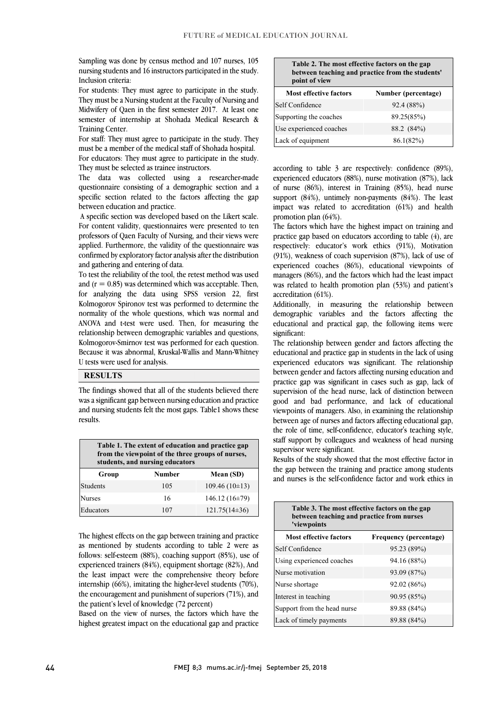nursing students and 16 instructors participated in the study. Sampling was done by census method and 107 nurses, 105 Inclusion criteria:

 For students: They must agree to participate in the study. They must be a Nursing student at the Faculty of Nursing and semester of internship at Shohada Medical Research & Midwifery of Qaen in the first semester 2017. At least one Training Center.

 For staff: They must agree to participate in the study. They must be a member of the medical staff of Shohada hospital. For educators: They must agree to participate in the study. They must be selected as trainee instructors.

 The data was collected using a researcher-made questionnaire consisting of a demographic section and a specific section related to the factors affecting the gap between education and practice.

 A specific section was developed based on the Likert scale. For content validity, questionnaires were presented to ten professors of Qaen Faculty of Nursing, and their views were applied. Furthermore, the validity of the questionnaire was confirmed by exploratory factor analysis after the distribution and gathering and entering of data.

 To test the reliability of the tool, the retest method was used and  $(r = 0.85)$  was determined which was acceptable. Then, for analyzing the data using SPSS version 22, first Kolmogorov Spironov test was performed to determine the ANOVA and t-test were used. Then, for measuring the relationship between demographic variables and questions, Kolmogorov-Smirnov test was performed for each question. Because it was abnormal, Kruskal-Wallis and Mann-Whitney j normality of the whole questions, which was normal and U tests were used for analysis.

### **RESULTS**

 The findings showed that all of the students believed there and nursing students felt the most gaps. Table1 shows these was a significant gap between nursing education and practice results.

 $\overline{\phantom{0}}$ 

| Table 1. The extent of education and practice gap<br>from the viewpoint of the three groups of nurses,<br>students, and nursing educators |               |                    |
|-------------------------------------------------------------------------------------------------------------------------------------------|---------------|--------------------|
| Group                                                                                                                                     | <b>Number</b> | Mean (SD)          |
| <b>Students</b>                                                                                                                           | 105           | $109.46(10\pm13)$  |
| <b>Nurses</b>                                                                                                                             | 16            | 146.12 $(16\pm79)$ |
| Educators                                                                                                                                 | 107           | $121.75(14\pm36)$  |

 The highest effects on the gap between training and practice  $\frac{1}{2}$  method by concerns according to these  $\frac{1}{2}$  were as experienced trainers (84%), equipment shortage (82%), And the least impact were the comprehensive theory before internship (66%), imitating the higher-level students (70%), the encouragement and punishment of superiors (71%), and<br>the patient's level of knowledge (72 percent) as mentioned by students according to table 2 were as the patient's level of knowledge (72 percent)

 Based on the view of nurses, the factors which have the highest greatest impact on the educational gap and practice

| Table 2. The most effective factors on the gap<br>between teaching and practice from the students'<br>point of view |                     |  |
|---------------------------------------------------------------------------------------------------------------------|---------------------|--|
| <b>Most effective factors</b>                                                                                       | Number (percentage) |  |
| Self Confidence                                                                                                     | 92.4 (88%)          |  |
| Supporting the coaches                                                                                              | 89.25(85%)          |  |
| Use experienced coaches                                                                                             | 88.2 (84%)          |  |
| Lack of equipment                                                                                                   | 86.1(82%)           |  |

 according to table 3 are respectively: confidence (89%), experienced educators (88%), nurse motivation (87%), lack of nurse (86%), interest in Training (85%), head nurse support (84%), untimely non-payments (84%). The least impact was related to accreditation (61%) and health promotion plan (64%).

The factors which have the highest impact on training and practice gap based on educators according to table (4), are respectively: educator's work ethics (91%), Motivation (91%), weakness of coach supervision (87%), lack of use of managers (86%), and the factors which had the least impact was related to health promotion plan (53%) and patient's experienced coaches (86%), educational viewpoints of accreditation (61%).

 Additionally, in measuring the relationship between educational and practical gap, the following items were demographic variables and the factors affecting the significant:

 The relationship between gender and factors affecting the educational and practice gap in students in the lack of using between gender and factors affecting nursing education and practice gap was significant in cases such as gap, lack of supervision of the head nurse, lack of distinction between viewpoints of managers. Also, in examining the relationship between age of nurses and factors affecting educational gap, the role of time, self-confidence, educator's teaching style, staff support by colleagues and weakness of head nursing experienced educators was significant. The relationship good and bad performance, and lack of educational supervisor were significant.

 Results of the study showed that the most effective factor in the gap between the training and practice among students and nurses is the self-confidence factor and work ethics in

| Table 3. The most effective factors on the gap<br>between teaching and practice from nurses<br>'viewpoints |                        |  |
|------------------------------------------------------------------------------------------------------------|------------------------|--|
| <b>Most effective factors</b>                                                                              | Frequency (percentage) |  |
| Self Confidence                                                                                            | 95.23 (89%)            |  |
| Using experienced coaches                                                                                  | 94.16 (88%)            |  |
| Nurse motivation                                                                                           | 93.09 (87%)            |  |
| Nurse shortage                                                                                             | 92.02(86%)             |  |
| Interest in teaching                                                                                       | 90.95 (85%)            |  |
| Support from the head nurse                                                                                | 89.88 (84%)            |  |
| Lack of timely payments                                                                                    | 89.88 (84%)            |  |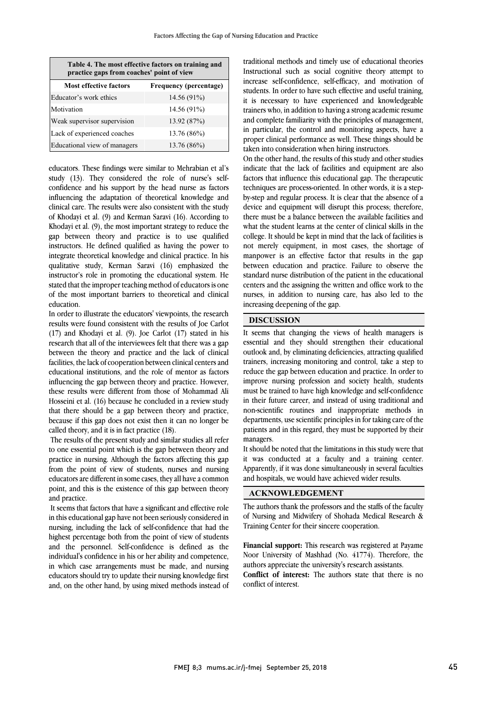| Table 4. The most effective factors on training and<br>practice gaps from coaches' point of view |                               |  |
|--------------------------------------------------------------------------------------------------|-------------------------------|--|
| <b>Most effective factors</b>                                                                    | <b>Frequency (percentage)</b> |  |
| Educator's work ethics                                                                           | 14.56 (91%)                   |  |
| Motivation                                                                                       | 14.56 (91%)                   |  |
| Weak supervisor supervision                                                                      | 13.92 (87%)                   |  |
| Lack of experienced coaches                                                                      | 13.76 (86%)                   |  |
| Educational view of managers                                                                     | 13.76 (86%)                   |  |

educators. These findings were similar to Mehrabian et al's study (13). They considered the role of nurse's selfconfidence and his support by the head nurse as factors influencing the adaptation of theoretical knowledge and clinical care. The results were also consistent with the study of Khodayi et al. (9) and Kerman Saravi (16). According to Khodayi et al. (9), the most important strategy to reduce the gap between theory and practice is to use qualified instructors. He defined qualified as having the power to integrate theoretical knowledge and clinical practice. In his qualitative study, Kerman Saravi (16) emphasized the instructor's role in promoting the educational system. He stated that the improper teaching method of educators is one of the most important barriers to theoretical and clinical education.

In order to illustrate the educators' viewpoints, the research results were found consistent with the results of Joe Carlot (17) and Khodayi et al. (9). Joe Carlot (17) stated in his research that all of the interviewees felt that there was a gap between the theory and practice and the lack of clinical facilities, the lack of cooperation between clinical centers and educational institutions, and the role of mentor as factors influencing the gap between theory and practice. However, these results were different from those of Mohammad Ali Hosseini et al. (16) because he concluded in a review study that there should be a gap between theory and practice, because if this gap does not exist then it can no longer be called theory, and it is in fact practice (18).

The results of the present study and similar studies all refer to one essential point which is the gap between theory and practice in nursing. Although the factors affecting this gap from the point of view of students, nurses and nursing educators are different in some cases, they all have a common point, and this is the existence of this gap between theory and practice.

It seems that factors that have a significant and effective role in this educational gap have not been seriously considered in nursing, including the lack of self-confidence that had the highest percentage both from the point of view of students and the personnel. Self-confidence is defined as the individual's confidence in his or her ability and competence, in which case arrangements must be made, and nursing educators should try to update their nursing knowledge first and, on the other hand, by using mixed methods instead of

 Instructional such as social cognitive theory attempt to increase self-confidence, self-efficacy, and motivation of students. In order to have such effective and useful training, it is necessary to have experienced and knowledgeable trainers who, in addition to having a strong academic resume in particular, the control and monitoring aspects, have a proper clinical performance as well. These things should be taken into consideration when hiring instructors. traditional methods and timely use of educational theories and complete familiarity with the principles of management,

In the other hand, the results of this study and other studies<br>indicate that the lack of facilities and equipment are also factors that influence this educational gap. The therapeutic techniques are process-oriented. In other words, it is a step- by-step and regular process. It is clear that the absence of a there must be a balance between the available facilities and what the student learns at the center of clinical skills in the college. It should be kept in mind that the lack of facilities is not merely equipment, in most cases, the shortage of between education and practice. Failure to observe the standard nurse distribution of the patient in the educational centers and the assigning the written and office work to the nurses, in addition to nursing care, has also led to the increasing deepening of the gap. On the other hand, the results of this study and other studies device and equipment will disrupt this process; therefore, manpower is an effective factor that results in the gap

#### **DISCUSSION**

 It seems that changing the views of health managers is essential and they should strengthen their educational trainers, increasing monitoring and control, take a step to reduce the gap between education and practice. In order to improve nursing profession and society health, students must be trained to have high knowledge and self-confidence non-scientific routines and inappropriate methods in departments, use scientific principles in for taking care of the patients and in this regard, they must be supported by their managers. outlook and, by eliminating deficiencies, attracting qualified in their future career, and instead of using traditional and

 it was conducted at a faculty and a training center. Apparently, if it was done simultaneously in several faculties and hospitals, we would have achieved wider results. It should be noted that the limitations in this study were that

## **ACKNOWLEDGEMENT**

 of Nursing and Midwifery of Shohada Medical Research & Training Center for their sincere cooperation. The authors thank the professors and the staffs of the faculty

 **Financial support:** This research was registered at Payame Noor University of Mashhad (No. 41774). Therefore, the authors appreciate the university's research assistants.

 **Conflict of interest:** The authors state that there is no conflict of interest.